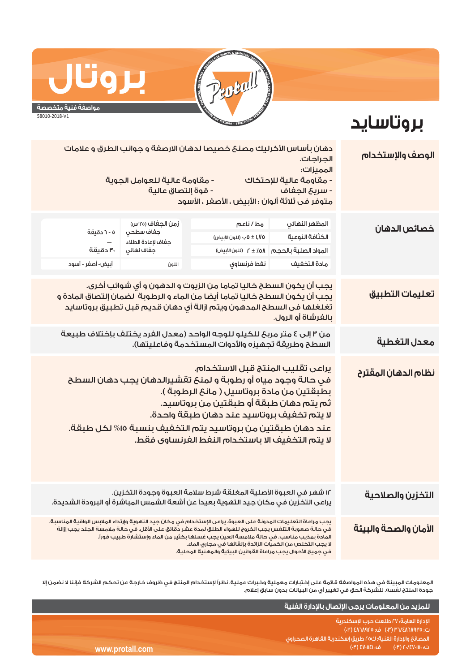

**بروتاسايد**

## **مواصفة فنية متخصصة**

**بروتال**

58010-2018-V1

## **الوصف والإستخدام تعليمات التطبيق نظام الدهان المقترح خصائص الدهان** من ٣ إلى ٤ متر مربع للكيلو للوجه الواحد (معدل الفرد يختلف بإختلاف طبيعة **معدل التغطية** السطح وطريقة تجهيزه والأدوات المستخدمة وفاعليتها). يراعى تقليب المنتج قبل الاستخدام. في حالة وجود مياه أو رطوبة و لمنع تقشيرالدهان يجب دهان السطح بطبقتين من مادة بروتاسيل ( مانع الرطوبة ). ثم يتم دهان طبقة أو طبقتين من بروتاسيد. لا يتم تخفيف بروتاسيد عند دهان طبقة واحدة. عند دهان طبقتين من بروتاسيد يتم التخفيف بنسبة %١٥ لكل طبقة. لا يتم التخفيف الا باستخدام النفط الفرنساوى فقط. مط / ناعم ٠٫٠٥ ± ١٫٧٥ (للون الأبيض) ٢ ± ٪٥٨ (للون الأبيض) ٥ - ٦ دقيقة ت - دسيف<br>—<br>٣٠ دقيقة أبيض- أصفر - أسود المظهر النهائي الكثافة النوعية المواد الصلبة بالحجم زمن الجفاف (°٢٥س) جفاف سطحي جفاف لإعادة الطلاء جفاف نهائي مادة التخفيف نفط فرنساوي اللون ١٢ شهر في العبوة الأصلية المغلقة شرط سلامة العبوة وجودة التخزين. يراعى التخزين في مكان جيد التهوية بعيداً عن أشعة الشمس المباشرة أو البرودة الشديدة. يجب مراعاة التعليمات المدونة على العبوة. يراعى الإستخدام في مكان جيد التهوية وإرتداء الملابس الواقية المناسبة. .<br>في حالة صعوبة التنفس يجب الخروج للهواء الطلق لمدة عشر دقائق على الأقل. في حالة ملامسة الجلد يجب إزالة المادة بمذيب مناسب. في حالة ملامسة العين يجب غسلها بكثير من الماء وإستشارة طبيب فوراً. لا يجب التخلص من الكميات الزائدة بإلقائها في مجاري الماء. في جميع الأحوال يجب مراعاة القوانين البيئية والمهنية المحلية. **التخزين والصلاحية الأمان والصحة والبيئة** دهان بأساس الأكرليك مصنع خصيصا لدهان الارصفة و جوانب الطرق و علامات الجراجات. المميزات: - مقاومة عالية للإحتكاك - مقاومة عالية للعوامل الجوية - سريع الجفاف - قوة إلتصاق عالية متوفر فى ثلاثة ألوان : الأبيض ، الأصفر ، الأسود يجب أن يكون السطح خاليا تماما من الزيوت و الدهون و أي شوائب أخرى. يجب أن يكون السطح خاليا تماما أيضا من الماء و الرطوبة لضمان إلتصاق المادة و تغلغلها فى السطح المدهون ويتم ازالة أي دهان قديم قبل تطبيق بروتاسايد بالفرشاة أو الرول.

المعلومات المبينة في هذه المواصفة قائمة على إختبارات معملية وخبرات عملية. نظراً لإستخدام المنتج في ظروف خارجة عن تحكم الشركة فإننا لا نضمن إلا جودة المنتج نفسه. للشركة الحق في تغيير أي من البيانات بدون سابق إعلام.

|                 | للمزيد من المعلومات يرجى الإتصال بالإدارة الفنية ا                               |
|-----------------|----------------------------------------------------------------------------------|
|                 | ' الإدارة العامة؛ ٢٧ طلعت حرب الإسكندرية ١<br>ت: ٣٦/٤٨٦٨٩٢٥ (٣٠) ف: ٤٨٦٨٩٢٥ (٣٠) |
|                 | ً المصانعَ والإدارة الفنية؛ ك٢٥ طريقَ إسكندرية القاهرة الصحراوى ،                |
| www.protall.com | ف: SV-IIEI) 8<br>$(\mathsf{F})\cap\mathsf{V}$ ر ت $\mathsf{F}$ ، ال $\mathsf{F}$ |